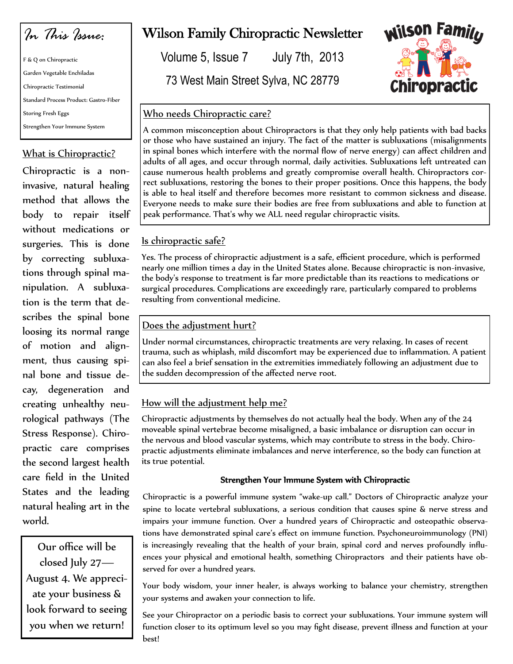*In This Issue:*

F & Q on Chiropractic Garden Vegetable Enchiladas Chiropractic Testimonial Standard Process Product: Gastro-Fiber Storing Fresh Eggs Strengthen Your Immune System

## What is Chiropractic?

Chiropractic is a noninvasive, natural healing method that allows the body to repair itself without medications or surgeries. This is done by correcting subluxations through spinal manipulation. A subluxation is the term that describes the spinal bone loosing its normal range of motion and alignment, thus causing spinal bone and tissue decay, degeneration and creating unhealthy neurological pathways (The Stress Response). Chiropractic care comprises the second largest health care field in the United States and the leading natural healing art in the world.

Our office will be closed July 27— August 4. We appreciate your business & look forward to seeing you when we return!

# Wilson Family Chiropractic Newsletter

Volume 5, Issue 7 July 7th, 2013

73 West Main Street Sylva, NC 28779



## Who needs Chiropractic care?

A common misconception about Chiropractors is that they only help patients with bad backs or those who have sustained an injury. The fact of the matter is subluxations (misalignments in spinal bones which interfere with the normal flow of nerve energy) can affect children and adults of all ages, and occur through normal, daily activities. Subluxations left untreated can cause numerous health problems and greatly compromise overall health. Chiropractors correct subluxations, restoring the bones to their proper positions. Once this happens, the body is able to heal itself and therefore becomes more resistant to common sickness and disease. Everyone needs to make sure their bodies are free from subluxations and able to function at peak performance. That's why we ALL need regular chiropractic visits.

## Is chiropractic safe?

Yes. The process of chiropractic adjustment is a safe, efficient procedure, which is performed nearly one million times a day in the United States alone. Because chiropractic is non-invasive, the body's response to treatment is far more predictable than its reactions to medications or surgical procedures. Complications are exceedingly rare, particularly compared to problems resulting from conventional medicine.

# Does the adjustment hurt?

Under normal circumstances, chiropractic treatments are very relaxing. In cases of recent trauma, such as whiplash, mild discomfort may be experienced due to inflammation. A patient can also feel a brief sensation in the extremities immediately following an adjustment due to the sudden decompression of the affected nerve root.

# How will the adjustment help me?

Chiropractic adjustments by themselves do not actually heal the body. When any of the 24 moveable spinal vertebrae become misaligned, a basic imbalance or disruption can occur in the nervous and blood vascular systems, which may contribute to stress in the body. Chiropractic adjustments eliminate imbalances and nerve interference, so the body can function at its true potential.

### Strengthen Your Immune System with Chiropractic

Chiropractic is a powerful immune system "wake-up call." Doctors of Chiropractic analyze your spine to locate vertebral subluxations, a serious condition that causes spine & nerve stress and impairs your immune function. Over a hundred years of Chiropractic and osteopathic observations have demonstrated spinal care's effect on immune function. Psychoneuroimmunology (PNI) is increasingly revealing that the health of your brain, spinal cord and nerves profoundly influences your physical and emotional health, something Chiropractors and their patients have observed for over a hundred years.

Your body wisdom, your inner healer, is always working to balance your chemistry, strengthen your systems and awaken your connection to life.

See your Chiropractor on a periodic basis to correct your subluxations. Your immune system will function closer to its optimum level so you may fight disease, prevent illness and function at your best!